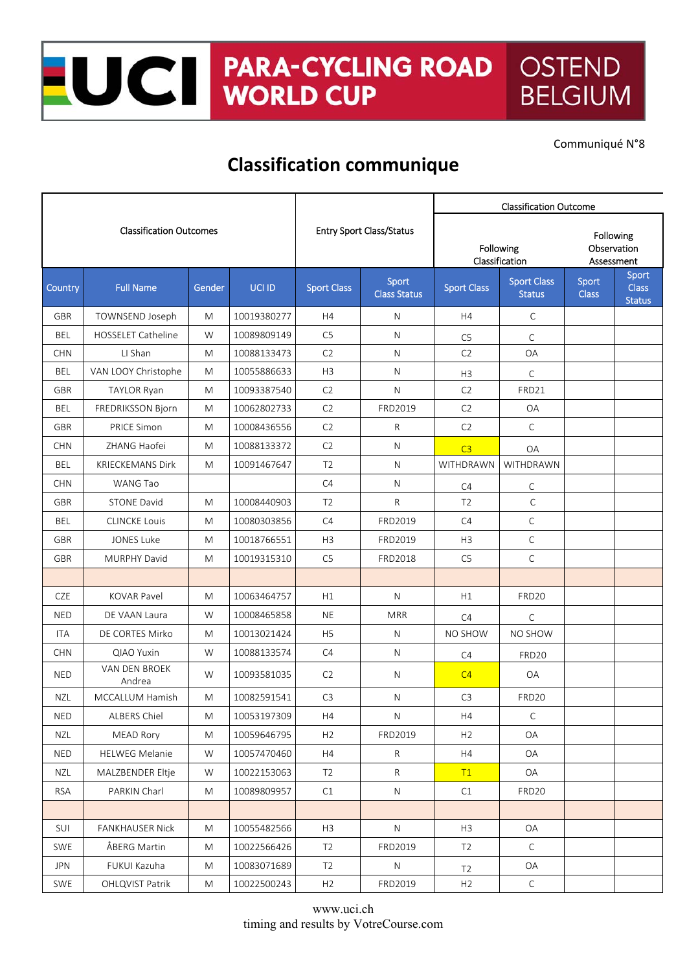## NOCI PARA-CYCLII **PARA-CYCLING ROAD OSTEND BELGIUM**

Communiqué N°8

## **Classification communique**

| <b>Classification Outcomes</b> |                           |        |                                 |                    | <b>Classification Outcome</b> |                    |                                        |                       |                                        |
|--------------------------------|---------------------------|--------|---------------------------------|--------------------|-------------------------------|--------------------|----------------------------------------|-----------------------|----------------------------------------|
|                                |                           |        | <b>Entry Sport Class/Status</b> |                    | Following<br>Classification   |                    | Following<br>Observation<br>Assessment |                       |                                        |
| Country                        | <b>Full Name</b>          | Gender | UCI ID                          | <b>Sport Class</b> | Sport<br><b>Class Status</b>  | <b>Sport Class</b> | <b>Sport Class</b><br><b>Status</b>    | Sport<br><b>Class</b> | Sport<br><b>Class</b><br><b>Status</b> |
| <b>GBR</b>                     | TOWNSEND Joseph           | M      | 10019380277                     | H4                 | N                             | H4                 | $\mathsf{C}$                           |                       |                                        |
| BEL                            | <b>HOSSELET Catheline</b> | W      | 10089809149                     | C <sub>5</sub>     | N                             | C <sub>5</sub>     | C                                      |                       |                                        |
| <b>CHN</b>                     | LI Shan                   | M      | 10088133473                     | C <sub>2</sub>     | $\mathsf{N}$                  | C <sub>2</sub>     | OA                                     |                       |                                        |
| BEL                            | VAN LOOY Christophe       | M      | 10055886633                     | H3                 | N                             | H3                 | C                                      |                       |                                        |
| <b>GBR</b>                     | <b>TAYLOR Ryan</b>        | M      | 10093387540                     | C <sub>2</sub>     | N                             | C <sub>2</sub>     | FRD21                                  |                       |                                        |
| BEL                            | FREDRIKSSON Bjorn         | M      | 10062802733                     | C <sub>2</sub>     | FRD2019                       | C <sub>2</sub>     | OA                                     |                       |                                        |
| GBR                            | PRICE Simon               | M      | 10008436556                     | C <sub>2</sub>     | R                             | C2                 | $\mathsf C$                            |                       |                                        |
| <b>CHN</b>                     | ZHANG Haofei              | M      | 10088133372                     | C2                 | N                             | C3                 | <b>OA</b>                              |                       |                                        |
| <b>BEL</b>                     | <b>KRIECKEMANS Dirk</b>   | M      | 10091467647                     | T <sub>2</sub>     | N                             | WITHDRAWN          | WITHDRAWN                              |                       |                                        |
| <b>CHN</b>                     | WANG Tao                  |        |                                 | C4                 | N.                            | C4                 | C                                      |                       |                                        |
| <b>GBR</b>                     | <b>STONE David</b>        | M      | 10008440903                     | T <sub>2</sub>     | R                             | T <sub>2</sub>     | $\mathsf{C}$                           |                       |                                        |
| <b>BEL</b>                     | <b>CLINCKE Louis</b>      | M      | 10080303856                     | C4                 | FRD2019                       | C4                 | $\mathsf{C}$                           |                       |                                        |
| GBR                            | <b>JONES Luke</b>         | M      | 10018766551                     | H3                 | FRD2019                       | H3                 | С                                      |                       |                                        |
| <b>GBR</b>                     | MURPHY David              | M      | 10019315310                     | C <sub>5</sub>     | FRD2018                       | C5                 | $\mathsf{C}$                           |                       |                                        |
|                                |                           |        |                                 |                    |                               |                    |                                        |                       |                                        |
| <b>CZE</b>                     | <b>KOVAR Pavel</b>        | M      | 10063464757                     | H1                 | N                             | H1                 | FRD20                                  |                       |                                        |
| <b>NED</b>                     | DE VAAN Laura             | W      | 10008465858                     | <b>NE</b>          | <b>MRR</b>                    | C4                 | C                                      |                       |                                        |
| ITA                            | DE CORTES Mirko           | M      | 10013021424                     | H <sub>5</sub>     | N.                            | NO SHOW            | NO SHOW                                |                       |                                        |
| <b>CHN</b>                     | QIAO Yuxin                | W      | 10088133574                     | C4                 | N                             | C4                 | FRD <sub>20</sub>                      |                       |                                        |
| <b>NED</b>                     | VAN DEN BROEK<br>Andrea   | W      | 10093581035                     | C <sub>2</sub>     | N                             | C4                 | OA                                     |                       |                                        |
| <b>NZL</b>                     | <b>MCCALLUM Hamish</b>    | M      | 10082591541                     | C <sub>3</sub>     | N                             | C <sub>3</sub>     | FRD20                                  |                       |                                        |
| <b>NED</b>                     | ALBERS Chiel              | M      | 10053197309                     | H4                 | ${\sf N}$                     | H4                 | $\mathsf C$                            |                       |                                        |
| NZL                            | <b>MEAD Rory</b>          | M      | 10059646795                     | H2                 | FRD2019                       | H2                 | OA                                     |                       |                                        |
| <b>NED</b>                     | <b>HELWEG Melanie</b>     | W      | 10057470460                     | H4                 | R                             | H4                 | OA                                     |                       |                                        |
| NZL                            | MALZBENDER Eltje          | W      | 10022153063                     | T <sub>2</sub>     | $\mathsf{R}$                  | T1                 | OA                                     |                       |                                        |
| <b>RSA</b>                     | PARKIN Charl              | M      | 10089809957                     | C1                 | N                             | C1                 | FRD20                                  |                       |                                        |
|                                |                           |        |                                 |                    |                               |                    |                                        |                       |                                        |
| SUI                            | <b>FANKHAUSER Nick</b>    | M      | 10055482566                     | H3                 | ${\sf N}$                     | H3                 | OA                                     |                       |                                        |
| SWE                            | ÅBERG Martin              | M      | 10022566426                     | T <sub>2</sub>     | FRD2019                       | T2                 | $\mathsf{C}$                           |                       |                                        |
| <b>JPN</b>                     | FUKUI Kazuha              | M      | 10083071689                     | T <sub>2</sub>     | ${\sf N}$                     | T <sub>2</sub>     | OA                                     |                       |                                        |
| <b>SWE</b>                     | OHLQVIST Patrik           | M      | 10022500243                     | H2                 | FRD2019                       | H2                 | $\mathsf C$                            |                       |                                        |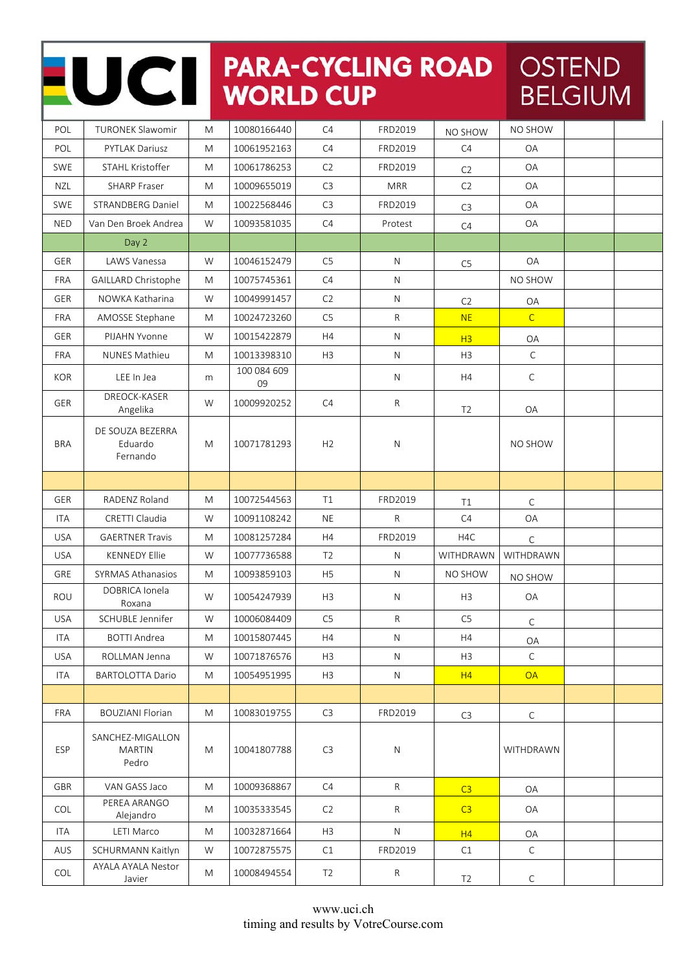## NOCI PARA-CYCLING ROAD

## OSTEND **BELGIUM**

| POL        | TURONEK Slawomir                        | M         | 10080166440       | C4             | FRD2019      | NO SHOW        | NO SHOW        |  |
|------------|-----------------------------------------|-----------|-------------------|----------------|--------------|----------------|----------------|--|
| POL        | PYTLAK Dariusz                          | M         | 10061952163       | C4             | FRD2019      | C4             | OA             |  |
| SWE        | STAHL Kristoffer                        | M         | 10061786253       | C2             | FRD2019      | C <sub>2</sub> | OA             |  |
| <b>NZL</b> | <b>SHARP Fraser</b>                     | M         | 10009655019       | C <sub>3</sub> | <b>MRR</b>   | C <sub>2</sub> | OA             |  |
| <b>SWE</b> | <b>STRANDBERG Daniel</b>                | M         | 10022568446       | C <sub>3</sub> | FRD2019      | C <sub>3</sub> | OA             |  |
| <b>NED</b> | Van Den Broek Andrea                    | W         | 10093581035       | C4             | Protest      | C4             | OA             |  |
|            | Day 2                                   |           |                   |                |              |                |                |  |
| GER        | LAWS Vanessa                            | W         | 10046152479       | C <sub>5</sub> | N            | C <sub>5</sub> | OA             |  |
| FRA        | GAILLARD Christophe                     | M         | 10075745361       | C4             | ${\sf N}$    |                | NO SHOW        |  |
| GER        | NOWKA Katharina                         | W         | 10049991457       | C2             | $\mathsf{N}$ | C <sub>2</sub> | OA             |  |
| FRA        | AMOSSE Stephane                         | M         | 10024723260       | C5             | $\mathsf{R}$ | <b>NE</b>      | $\overline{C}$ |  |
| GER        | PIJAHN Yvonne                           | W         | 10015422879       | H4             | $\mathsf{N}$ | H3             | OA             |  |
| <b>FRA</b> | <b>NUNES Mathieu</b>                    | M         | 10013398310       | H <sub>3</sub> | ${\sf N}$    | H <sub>3</sub> | $\mathsf C$    |  |
| <b>KOR</b> | LEE In Jea                              | m         | 100 084 609<br>09 |                | $\mathsf{N}$ | H4             | $\mathsf C$    |  |
| GER        | DREOCK-KASER<br>Angelika                | W         | 10009920252       | C4             | ${\sf R}$    | T <sub>2</sub> | OA             |  |
| <b>BRA</b> | DE SOUZA BEZERRA<br>Eduardo<br>Fernando | M         | 10071781293       | H <sub>2</sub> | N            |                | NO SHOW        |  |
|            |                                         |           |                   |                |              |                |                |  |
| <b>GER</b> | RADENZ Roland                           | M         | 10072544563       | T1             | FRD2019      | T1             | $\mathsf C$    |  |
| <b>ITA</b> | CRETTI Claudia                          | W         | 10091108242       | <b>NE</b>      | $\mathsf{R}$ | C4             | OA             |  |
| <b>USA</b> | <b>GAERTNER Travis</b>                  | M         | 10081257284       | H4             | FRD2019      | H4C            | $\mathsf C$    |  |
| <b>USA</b> | <b>KENNEDY Ellie</b>                    | W         | 10077736588       | T <sub>2</sub> | $\mathsf{N}$ | WITHDRAWN      | WITHDRAWN      |  |
| GRE        | <b>SYRMAS Athanasios</b>                | ${\sf M}$ | 10093859103       | H <sub>5</sub> | ${\sf N}$    | NO SHOW        | NO SHOW        |  |
| <b>ROU</b> | DOBRICA Ionela<br>Roxana                | W         | 10054247939       | H <sub>3</sub> | $\mathsf{N}$ | H3             | OA             |  |
| <b>USA</b> | SCHUBLE Jennifer                        | W         | 10006084409       | C <sub>5</sub> | R            | C <sub>5</sub> | $\mathsf C$    |  |
| <b>ITA</b> | <b>BOTTI Andrea</b>                     | M         | 10015807445       | H4             | N            | H4             | ΟA             |  |
| <b>USA</b> | ROLLMAN Jenna                           | W         | 10071876576       | H3             | N            | H <sub>3</sub> | $\mathsf{C}$   |  |
| ITA        | <b>BARTOLOTTA Dario</b>                 | M         | 10054951995       | H <sub>3</sub> | $\mathsf{N}$ | H4             | <b>OA</b>      |  |
|            |                                         |           |                   |                |              |                |                |  |
| <b>FRA</b> | <b>BOUZIANI Florian</b>                 | M         | 10083019755       | C3             | FRD2019      | C3             | $\mathsf{C}$   |  |
| ESP        | SANCHEZ-MIGALLON<br>MARTIN<br>Pedro     | M         | 10041807788       | C <sub>3</sub> | ${\sf N}$    |                | WITHDRAWN      |  |
| GBR        | VAN GASS Jaco                           | M         | 10009368867       | C4             | $\mathsf{R}$ | C3             | OA             |  |
| COL        | PEREA ARANGO<br>Alejandro               | M         | 10035333545       | C <sub>2</sub> | $\mathsf{R}$ | C3             | OA             |  |
| ITA        | LETI Marco                              | M         | 10032871664       | H <sub>3</sub> | ${\sf N}$    | H4             | OA             |  |
| <b>AUS</b> | SCHURMANN Kaitlyn                       | W         | 10072875575       | C1             | FRD2019      | C1             | $\mathsf{C}$   |  |
| COL        | AYALA AYALA Nestor<br>Javier            | M         | 10008494554       | T <sub>2</sub> | $\mathsf{R}$ | T <sub>2</sub> | $\mathsf{C}$   |  |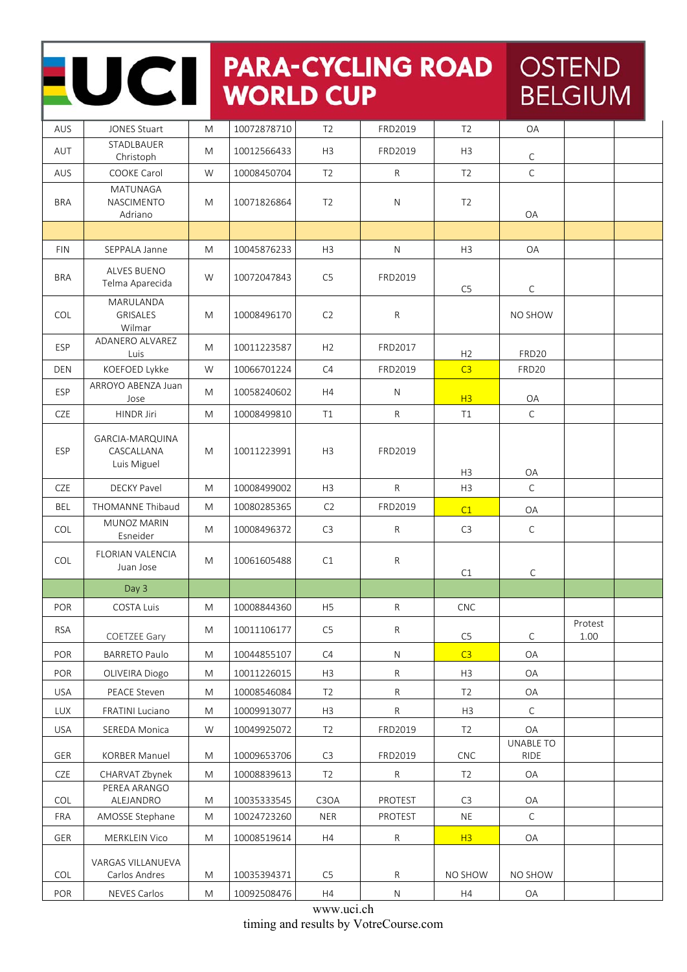| UCI        |                                              |           | <b>PARA-CYCLING ROAD</b><br><b>WORLD CUP</b> |                               |                 |                |                          | <b>OSTEND</b><br><b>BELGIUM</b> |  |  |
|------------|----------------------------------------------|-----------|----------------------------------------------|-------------------------------|-----------------|----------------|--------------------------|---------------------------------|--|--|
| <b>AUS</b> | <b>JONES Stuart</b>                          | M         | 10072878710                                  | T <sub>2</sub>                | FRD2019         | T <sub>2</sub> | <b>OA</b>                |                                 |  |  |
| AUT        | STADLBAUER<br>Christoph                      | M         | 10012566433                                  | H <sub>3</sub>                | FRD2019         | H <sub>3</sub> | C                        |                                 |  |  |
| <b>AUS</b> | <b>COOKE Carol</b>                           | W         | 10008450704                                  | T <sub>2</sub>                | R               | T <sub>2</sub> | $\mathsf C$              |                                 |  |  |
| <b>BRA</b> | <b>MATUNAGA</b><br>NASCIMENTO<br>Adriano     | M         | 10071826864                                  | T <sub>2</sub>                | N               | T <sub>2</sub> | OA                       |                                 |  |  |
|            |                                              |           |                                              |                               |                 |                |                          |                                 |  |  |
| <b>FIN</b> | SEPPALA Janne                                | M         | 10045876233                                  | H <sub>3</sub>                | N               | H <sub>3</sub> | <b>OA</b>                |                                 |  |  |
| <b>BRA</b> | <b>ALVES BUENO</b><br>Telma Aparecida        | W         | 10072047843                                  | C <sub>5</sub>                | FRD2019         | C <sub>5</sub> | C                        |                                 |  |  |
| COL        | MARULANDA<br><b>GRISALES</b><br>Wilmar       | M         | 10008496170                                  | C <sub>2</sub>                | R               |                | NO SHOW                  |                                 |  |  |
| ESP        | ADANERO ALVAREZ<br>Luis                      | M         | 10011223587                                  | H <sub>2</sub>                | FRD2017         | H <sub>2</sub> | FRD <sub>20</sub>        |                                 |  |  |
| <b>DEN</b> | KOEFOED Lykke                                | W         | 10066701224                                  | C4                            | FRD2019         | C <sub>3</sub> | <b>FRD20</b>             |                                 |  |  |
| <b>ESP</b> | ARROYO ABENZA Juan<br>Jose                   | M         | 10058240602                                  | H4                            | N               | H <sub>3</sub> | OA                       |                                 |  |  |
| <b>CZE</b> | HINDR Jiri                                   | M         | 10008499810                                  | T1                            | R               | T1             | $\mathsf{C}$             |                                 |  |  |
| <b>ESP</b> | GARCIA-MARQUINA<br>CASCALLANA<br>Luis Miguel | M         | 10011223991                                  | H <sub>3</sub>                | FRD2019         | H <sub>3</sub> | OA                       |                                 |  |  |
| CZE        | <b>DECKY Pavel</b>                           | M         | 10008499002                                  | H <sub>3</sub>                | R.              | H <sub>3</sub> | $\mathsf{C}$             |                                 |  |  |
| <b>BEL</b> | <b>THOMANNE Thibaud</b>                      | M         | 10080285365                                  | C <sub>2</sub>                | FRD2019         | C1             | OA                       |                                 |  |  |
| <b>COL</b> | MUNOZ MARIN<br>Esneider                      | M         | 10008496372                                  | C <sub>3</sub>                | R               | C <sub>3</sub> | C                        |                                 |  |  |
| <b>COL</b> | FLORIAN VALENCIA<br>Juan Jose                | M         | 10061605488                                  | C1                            | R               | C1             | $\mathsf{C}$             |                                 |  |  |
|            | Day 3                                        |           |                                              |                               |                 |                |                          |                                 |  |  |
| POR        | COSTA Luis                                   | M         | 10008844360                                  | H <sub>5</sub>                | ${\sf R}$       | CNC            |                          |                                 |  |  |
| <b>RSA</b> | COETZEE Gary                                 | M         | 10011106177                                  | C <sub>5</sub>                | ${\sf R}$       | C <sub>5</sub> | C                        | Protest<br>1.00                 |  |  |
| POR        | <b>BARRETO Paulo</b>                         | M         | 10044855107                                  | C4                            | N               | C3             | OA                       |                                 |  |  |
| <b>POR</b> | OLIVEIRA Diogo                               | M         | 10011226015                                  | H <sub>3</sub>                | R               | H <sub>3</sub> | OA                       |                                 |  |  |
| <b>USA</b> | PEACE Steven                                 | M         | 10008546084                                  | T <sub>2</sub>                | $R_{\parallel}$ | T <sub>2</sub> | OA                       |                                 |  |  |
| <b>LUX</b> | FRATINI Luciano                              | M         | 10009913077                                  | H3                            | ${\sf R}$       | H <sub>3</sub> | $\mathsf{C}$             |                                 |  |  |
| <b>USA</b> | SEREDA Monica                                | W         | 10049925072                                  | T <sub>2</sub>                | FRD2019         | T <sub>2</sub> | OA                       |                                 |  |  |
| <b>GER</b> | <b>KORBER Manuel</b>                         | M         | 10009653706                                  | C <sub>3</sub>                | FRD2019         | <b>CNC</b>     | UNABLE TO<br><b>RIDE</b> |                                 |  |  |
| <b>CZE</b> | CHARVAT Zbynek                               | M         | 10008839613                                  | T <sub>2</sub>                | $\mathsf{R}$    | T <sub>2</sub> | OA                       |                                 |  |  |
| COL        | PEREA ARANGO<br>ALEJANDRO                    | M         | 10035333545                                  | C <sub>3</sub> O <sub>A</sub> | PROTEST         | C <sub>3</sub> | OA                       |                                 |  |  |
| <b>FRA</b> | AMOSSE Stephane                              | M         | 10024723260                                  | <b>NER</b>                    | PROTEST         | <b>NE</b>      | $\mathsf{C}$             |                                 |  |  |
| <b>GER</b> | <b>MERKLEIN Vico</b>                         | ${\sf M}$ | 10008519614                                  | H4                            | ${\sf R}$       | H3             | OA                       |                                 |  |  |
|            | VARGAS VILLANUEVA                            |           |                                              |                               |                 |                |                          |                                 |  |  |
| <b>COL</b> | Carlos Andres                                | M         | 10035394371                                  | C5                            | R               | NO SHOW        | NO SHOW                  |                                 |  |  |
| POR        | NEVES Carlos                                 | M         | 10092508476                                  | H4                            | N               | H4             | OA                       |                                 |  |  |